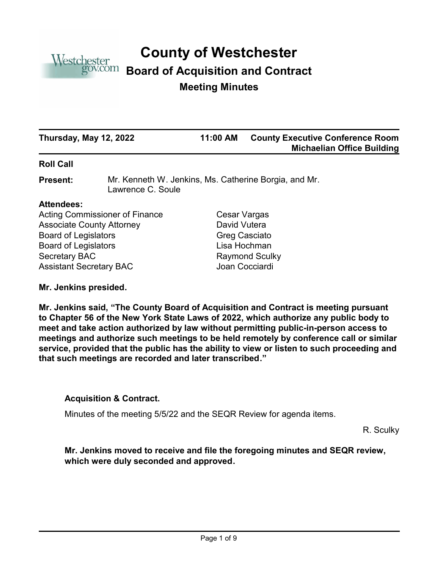

# **County of Westchester**

# **Board of Acquisition and Contract**

# **Meeting Minutes**

| Thursday, May 12, 2022 | 11:00 AM | <b>County Executive Conference Room</b><br><b>Michaelian Office Building</b> |
|------------------------|----------|------------------------------------------------------------------------------|
|                        |          |                                                                              |

#### **Roll Call**

Mr. Kenneth W. Jenkins, Ms. Catherine Borgia, and Mr. Lawrence C. Soule **Present:**

#### **Attendees:**

Acting Commissioner of Finance Cesar Vargas Associate County Attorney **David Vutera** Board of Legislators Greg Casciato Board of Legislators **Lisa Hochman** Secretary BAC Raymond Sculky Assistant Secretary BAC Joan Cocciardi

**Mr. Jenkins presided.**

**Mr. Jenkins said, "The County Board of Acquisition and Contract is meeting pursuant to Chapter 56 of the New York State Laws of 2022, which authorize any public body to meet and take action authorized by law without permitting public-in-person access to meetings and authorize such meetings to be held remotely by conference call or similar service, provided that the public has the ability to view or listen to such proceeding and that such meetings are recorded and later transcribed."**

#### **Acquisition & Contract.**

Minutes of the meeting 5/5/22 and the SEQR Review for agenda items.

R. Sculky

**Mr. Jenkins moved to receive and file the foregoing minutes and SEQR review, which were duly seconded and approved.**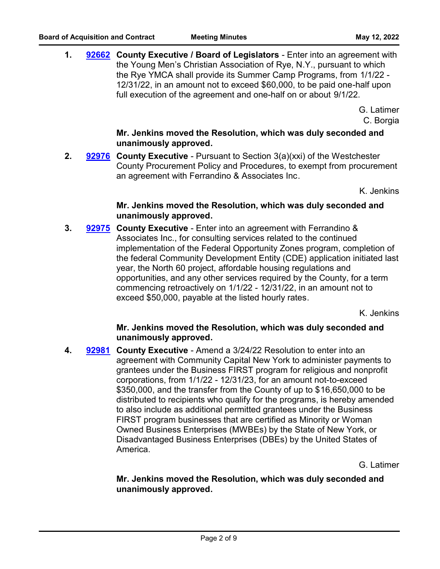**1. [92662](http://westchestercountynyexec.legistar.com/gateway.aspx?m=l&id=/matter.aspx?key=3277)** County Executive / Board of Legislators - Enter into an agreement with the Young Men's Christian Association of Rye, N.Y., pursuant to which the Rye YMCA shall provide its Summer Camp Programs, from 1/1/22 - 12/31/22, in an amount not to exceed \$60,000, to be paid one-half upon full execution of the agreement and one-half on or about 9/1/22.

> G. Latimer C. Borgia

# **Mr. Jenkins moved the Resolution, which was duly seconded and unanimously approved.**

**2. [92976](http://westchestercountynyexec.legistar.com/gateway.aspx?m=l&id=/matter.aspx?key=3279)** County Executive - Pursuant to Section 3(a)(xxi) of the Westchester County Procurement Policy and Procedures, to exempt from procurement an agreement with Ferrandino & Associates Inc.

K. Jenkins

# **Mr. Jenkins moved the Resolution, which was duly seconded and unanimously approved.**

**3. [92975](http://westchestercountynyexec.legistar.com/gateway.aspx?m=l&id=/matter.aspx?key=3278)** County Executive - Enter into an agreement with Ferrandino & Associates Inc., for consulting services related to the continued implementation of the Federal Opportunity Zones program, completion of the federal Community Development Entity (CDE) application initiated last year, the North 60 project, affordable housing regulations and opportunities, and any other services required by the County, for a term commencing retroactively on 1/1/22 - 12/31/22, in an amount not to exceed \$50,000, payable at the listed hourly rates.

K. Jenkins

# **Mr. Jenkins moved the Resolution, which was duly seconded and unanimously approved.**

**4. County Executive** - Amend a 3/24/22 Resolution to enter into an **[92981](http://westchestercountynyexec.legistar.com/gateway.aspx?m=l&id=/matter.aspx?key=3280)** agreement with Community Capital New York to administer payments to grantees under the Business FIRST program for religious and nonprofit corporations, from 1/1/22 - 12/31/23, for an amount not-to-exceed \$350,000, and the transfer from the County of up to \$16,650,000 to be distributed to recipients who qualify for the programs, is hereby amended to also include as additional permitted grantees under the Business FIRST program businesses that are certified as Minority or Woman Owned Business Enterprises (MWBEs) by the State of New York, or Disadvantaged Business Enterprises (DBEs) by the United States of America.

G. Latimer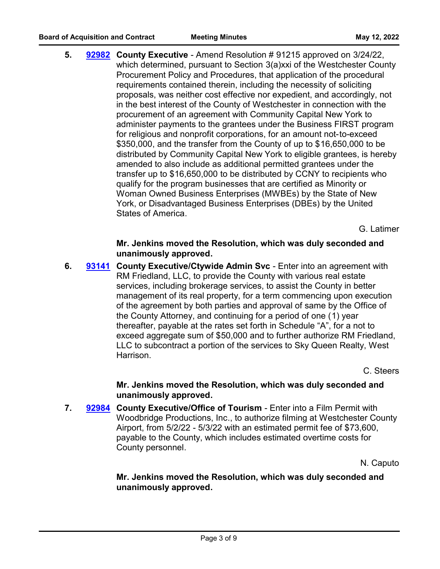**5. County Executive** - Amend Resolution # 91215 approved on 3/24/22, **[92982](http://westchestercountynyexec.legistar.com/gateway.aspx?m=l&id=/matter.aspx?key=3281)** which determined, pursuant to Section 3(a)xxi of the Westchester County Procurement Policy and Procedures, that application of the procedural requirements contained therein, including the necessity of soliciting proposals, was neither cost effective nor expedient, and accordingly, not in the best interest of the County of Westchester in connection with the procurement of an agreement with Community Capital New York to administer payments to the grantees under the Business FIRST program for religious and nonprofit corporations, for an amount not-to-exceed \$350,000, and the transfer from the County of up to \$16,650,000 to be distributed by Community Capital New York to eligible grantees, is hereby amended to also include as additional permitted grantees under the transfer up to \$16,650,000 to be distributed by CCNY to recipients who qualify for the program businesses that are certified as Minority or Woman Owned Business Enterprises (MWBEs) by the State of New York, or Disadvantaged Business Enterprises (DBEs) by the United States of America.

G. Latimer

**Mr. Jenkins moved the Resolution, which was duly seconded and unanimously approved.**

**6.** [93141](http://westchestercountynyexec.legistar.com/gateway.aspx?m=l&id=/matter.aspx?key=3305) County Executive/Ctywide Admin Svc - Enter into an agreement with RM Friedland, LLC, to provide the County with various real estate services, including brokerage services, to assist the County in better management of its real property, for a term commencing upon execution of the agreement by both parties and approval of same by the Office of the County Attorney, and continuing for a period of one (1) year thereafter, payable at the rates set forth in Schedule "A", for a not to exceed aggregate sum of \$50,000 and to further authorize RM Friedland, LLC to subcontract a portion of the services to Sky Queen Realty, West Harrison.

C. Steers

**Mr. Jenkins moved the Resolution, which was duly seconded and unanimously approved.**

**7. [92984](http://westchestercountynyexec.legistar.com/gateway.aspx?m=l&id=/matter.aspx?key=3282)** County Executive/Office of Tourism - Enter into a Film Permit with Woodbridge Productions, Inc., to authorize filming at Westchester County Airport, from 5/2/22 - 5/3/22 with an estimated permit fee of \$73,600, payable to the County, which includes estimated overtime costs for County personnel.

N. Caputo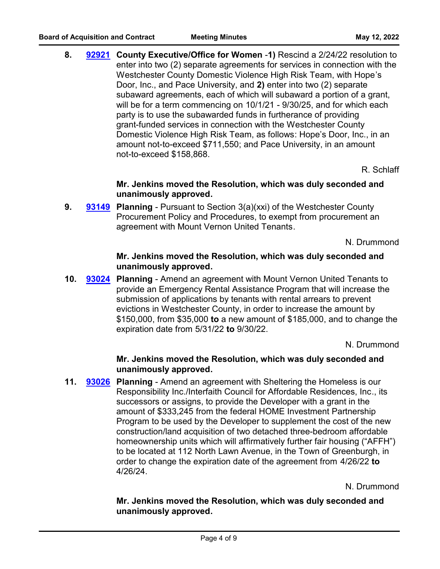**8. County Executive/Office for Women** -**1)** Rescind a 2/24/22 resolution to **[92921](http://westchestercountynyexec.legistar.com/gateway.aspx?m=l&id=/matter.aspx?key=3283)** enter into two (2) separate agreements for services in connection with the Westchester County Domestic Violence High Risk Team, with Hope's Door, Inc., and Pace University, and **2)** enter into two (2) separate subaward agreements, each of which will subaward a portion of a grant, will be for a term commencing on 10/1/21 - 9/30/25, and for which each party is to use the subawarded funds in furtherance of providing grant-funded services in connection with the Westchester County Domestic Violence High Risk Team, as follows: Hope's Door, Inc., in an amount not-to-exceed \$711,550; and Pace University, in an amount not-to-exceed \$158,868.

R. Schlaff

#### **Mr. Jenkins moved the Resolution, which was duly seconded and unanimously approved.**

**9. [93149](http://westchestercountynyexec.legistar.com/gateway.aspx?m=l&id=/matter.aspx?key=3304)** Planning - Pursuant to Section 3(a)(xxi) of the Westchester County Procurement Policy and Procedures, to exempt from procurement an agreement with Mount Vernon United Tenants.

N. Drummond

#### **Mr. Jenkins moved the Resolution, which was duly seconded and unanimously approved.**

**10. [93024](http://westchestercountynyexec.legistar.com/gateway.aspx?m=l&id=/matter.aspx?key=3284) Planning** - Amend an agreement with Mount Vernon United Tenants to provide an Emergency Rental Assistance Program that will increase the submission of applications by tenants with rental arrears to prevent evictions in Westchester County, in order to increase the amount by \$150,000, from \$35,000 **to** a new amount of \$185,000, and to change the expiration date from 5/31/22 **to** 9/30/22.

N. Drummond

# **Mr. Jenkins moved the Resolution, which was duly seconded and unanimously approved.**

**11. [93026](http://westchestercountynyexec.legistar.com/gateway.aspx?m=l&id=/matter.aspx?key=3285)** Planning - Amend an agreement with Sheltering the Homeless is our Responsibility Inc./Interfaith Council for Affordable Residences, Inc., its successors or assigns, to provide the Developer with a grant in the amount of \$333,245 from the federal HOME Investment Partnership Program to be used by the Developer to supplement the cost of the new construction/land acquisition of two detached three-bedroom affordable homeownership units which will affirmatively further fair housing ("AFFH") to be located at 112 North Lawn Avenue, in the Town of Greenburgh, in order to change the expiration date of the agreement from 4/26/22 **to** 4/26/24.

N. Drummond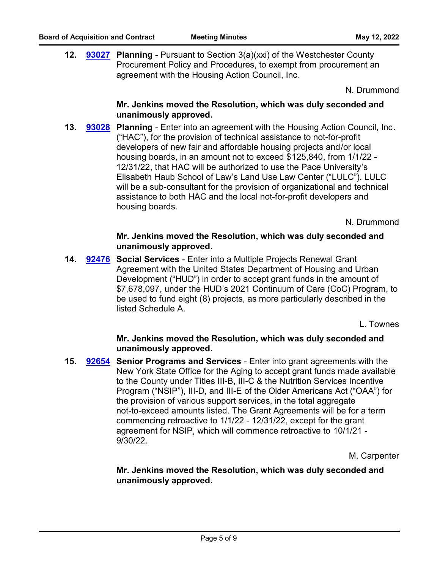**12. [93027](http://westchestercountynyexec.legistar.com/gateway.aspx?m=l&id=/matter.aspx?key=3286)** Planning - Pursuant to Section 3(a)(xxi) of the Westchester County Procurement Policy and Procedures, to exempt from procurement an agreement with the Housing Action Council, Inc.

N. Drummond

#### **Mr. Jenkins moved the Resolution, which was duly seconded and unanimously approved.**

**13. [93028](http://westchestercountynyexec.legistar.com/gateway.aspx?m=l&id=/matter.aspx?key=3287) Planning - Enter into an agreement with the Housing Action Council, Inc.** ("HAC"), for the provision of technical assistance to not-for-profit developers of new fair and affordable housing projects and/or local housing boards, in an amount not to exceed \$125,840, from 1/1/22 - 12/31/22, that HAC will be authorized to use the Pace University's Elisabeth Haub School of Law's Land Use Law Center ("LULC"). LULC will be a sub-consultant for the provision of organizational and technical assistance to both HAC and the local not-for-profit developers and housing boards.

N. Drummond

#### **Mr. Jenkins moved the Resolution, which was duly seconded and unanimously approved.**

**14. [92476](http://westchestercountynyexec.legistar.com/gateway.aspx?m=l&id=/matter.aspx?key=3288)** Social Services - Enter into a Multiple Projects Renewal Grant Agreement with the United States Department of Housing and Urban Development ("HUD") in order to accept grant funds in the amount of \$7,678,097, under the HUD's 2021 Continuum of Care (CoC) Program, to be used to fund eight (8) projects, as more particularly described in the listed Schedule A.

L. Townes

#### **Mr. Jenkins moved the Resolution, which was duly seconded and unanimously approved.**

**15. [92654](http://westchestercountynyexec.legistar.com/gateway.aspx?m=l&id=/matter.aspx?key=3289)** Senior Programs and Services - Enter into grant agreements with the New York State Office for the Aging to accept grant funds made available to the County under Titles III-B, III-C & the Nutrition Services Incentive Program ("NSIP"), III-D, and III-E of the Older Americans Act ("OAA") for the provision of various support services, in the total aggregate not-to-exceed amounts listed. The Grant Agreements will be for a term commencing retroactive to 1/1/22 - 12/31/22, except for the grant agreement for NSIP, which will commence retroactive to 10/1/21 - 9/30/22.

M. Carpenter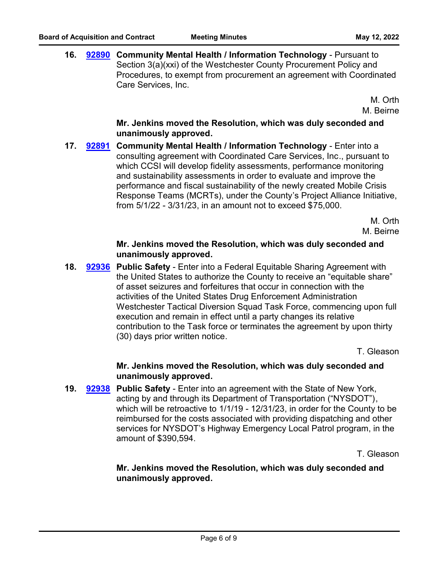**16. [92890](http://westchestercountynyexec.legistar.com/gateway.aspx?m=l&id=/matter.aspx?key=3290) Community Mental Health / Information Technology - Pursuant to** Section 3(a)(xxi) of the Westchester County Procurement Policy and Procedures, to exempt from procurement an agreement with Coordinated Care Services, Inc.

> M. Orth M. Beirne

## **Mr. Jenkins moved the Resolution, which was duly seconded and unanimously approved.**

**17. [92891](http://westchestercountynyexec.legistar.com/gateway.aspx?m=l&id=/matter.aspx?key=3291) Community Mental Health / Information Technology - Enter into a** consulting agreement with Coordinated Care Services, Inc., pursuant to which CCSI will develop fidelity assessments, performance monitoring and sustainability assessments in order to evaluate and improve the performance and fiscal sustainability of the newly created Mobile Crisis Response Teams (MCRTs), under the County's Project Alliance Initiative, from 5/1/22 - 3/31/23, in an amount not to exceed \$75,000.

> M. Orth M. Beirne

#### **Mr. Jenkins moved the Resolution, which was duly seconded and unanimously approved.**

**18. [92936](http://westchestercountynyexec.legistar.com/gateway.aspx?m=l&id=/matter.aspx?key=3292) Public Safety - Enter into a Federal Equitable Sharing Agreement with** the United States to authorize the County to receive an "equitable share" of asset seizures and forfeitures that occur in connection with the activities of the United States Drug Enforcement Administration Westchester Tactical Diversion Squad Task Force, commencing upon full execution and remain in effect until a party changes its relative contribution to the Task force or terminates the agreement by upon thirty (30) days prior written notice.

T. Gleason

# **Mr. Jenkins moved the Resolution, which was duly seconded and unanimously approved.**

**19. 92938** Public Safety - Enter into an agreement with the State of New York, acting by and through its Department of Transportation ("NYSDOT"), which will be retroactive to 1/1/19 - 12/31/23, in order for the County to be reimbursed for the costs associated with providing dispatching and other services for NYSDOT's Highway Emergency Local Patrol program, in the amount of \$390,594. **[92938](http://westchestercountynyexec.legistar.com/gateway.aspx?m=l&id=/matter.aspx?key=3293)**

T. Gleason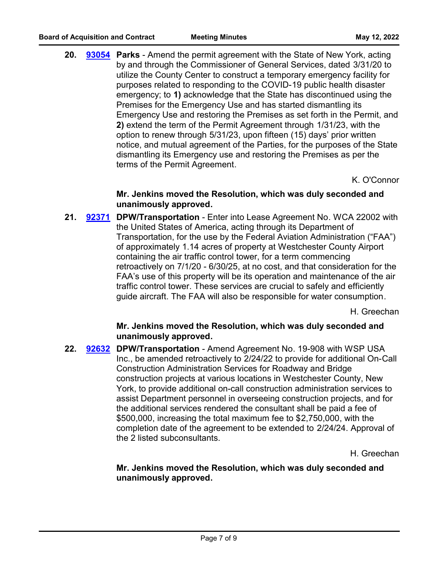20. **[93054](http://westchestercountynyexec.legistar.com/gateway.aspx?m=l&id=/matter.aspx?key=3294)** Parks - Amend the permit agreement with the State of New York, acting by and through the Commissioner of General Services, dated 3/31/20 to utilize the County Center to construct a temporary emergency facility for purposes related to responding to the COVID-19 public health disaster emergency; to **1)** acknowledge that the State has discontinued using the Premises for the Emergency Use and has started dismantling its Emergency Use and restoring the Premises as set forth in the Permit, and **2)** extend the term of the Permit Agreement through 1/31/23, with the option to renew through 5/31/23, upon fifteen (15) days' prior written notice, and mutual agreement of the Parties, for the purposes of the State dismantling its Emergency use and restoring the Premises as per the terms of the Permit Agreement.

K. O'Connor

#### **Mr. Jenkins moved the Resolution, which was duly seconded and unanimously approved.**

21. [92371](http://westchestercountynyexec.legistar.com/gateway.aspx?m=l&id=/matter.aspx?key=3295) DPW/Transportation - Enter into Lease Agreement No. WCA 22002 with the United States of America, acting through its Department of Transportation, for the use by the Federal Aviation Administration ("FAA") of approximately 1.14 acres of property at Westchester County Airport containing the air traffic control tower, for a term commencing retroactively on 7/1/20 - 6/30/25, at no cost, and that consideration for the FAA's use of this property will be its operation and maintenance of the air traffic control tower. These services are crucial to safely and efficiently guide aircraft. The FAA will also be responsible for water consumption.

H. Greechan

# **Mr. Jenkins moved the Resolution, which was duly seconded and unanimously approved.**

22. **92632 DPW/Transportation** - Amend Agreement No. 19-908 with WSP USA Inc., be amended retroactively to 2/24/22 to provide for additional On-Call Construction Administration Services for Roadway and Bridge construction projects at various locations in Westchester County, New York, to provide additional on-call construction administration services to assist Department personnel in overseeing construction projects, and for the additional services rendered the consultant shall be paid a fee of \$500,000, increasing the total maximum fee to \$2,750,000, with the completion date of the agreement to be extended to 2/24/24. Approval of the 2 listed subconsultants. **[92632](http://westchestercountynyexec.legistar.com/gateway.aspx?m=l&id=/matter.aspx?key=3296)**

H. Greechan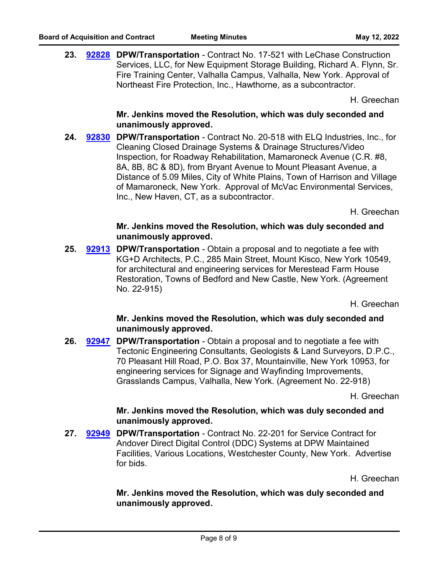23. **[92828](http://westchestercountynyexec.legistar.com/gateway.aspx?m=l&id=/matter.aspx?key=3297) DPW/Transportation** - Contract No. 17-521 with LeChase Construction Services, LLC, for New Equipment Storage Building, Richard A. Flynn, Sr. Fire Training Center, Valhalla Campus, Valhalla, New York. Approval of Northeast Fire Protection, Inc., Hawthorne, as a subcontractor.

H. Greechan

**Mr. Jenkins moved the Resolution, which was duly seconded and unanimously approved.**

**24. 92830** DPW/Transportation - Contract No. 20-518 with ELQ Industries, Inc., for Cleaning Closed Drainage Systems & Drainage Structures/Video Inspection, for Roadway Rehabilitation, Mamaroneck Avenue (C.R. #8, 8A, 8B, 8C & 8D), from Bryant Avenue to Mount Pleasant Avenue, a Distance of 5.09 Miles, City of White Plains, Town of Harrison and Village of Mamaroneck, New York. Approval of McVac Environmental Services, Inc., New Haven, CT, as a subcontractor. **[92830](http://westchestercountynyexec.legistar.com/gateway.aspx?m=l&id=/matter.aspx?key=3298)**

H. Greechan

## **Mr. Jenkins moved the Resolution, which was duly seconded and unanimously approved.**

**25. [92913](http://westchestercountynyexec.legistar.com/gateway.aspx?m=l&id=/matter.aspx?key=3299)** DPW/Transportation - Obtain a proposal and to negotiate a fee with KG+D Architects, P.C., 285 Main Street, Mount Kisco, New York 10549, for architectural and engineering services for Merestead Farm House Restoration, Towns of Bedford and New Castle, New York. (Agreement No. 22-915)

H. Greechan

#### **Mr. Jenkins moved the Resolution, which was duly seconded and unanimously approved.**

**26. [92947](http://westchestercountynyexec.legistar.com/gateway.aspx?m=l&id=/matter.aspx?key=3300)** DPW/Transportation - Obtain a proposal and to negotiate a fee with Tectonic Engineering Consultants, Geologists & Land Surveyors, D.P.C., 70 Pleasant Hill Road, P.O. Box 37, Mountainville, New York 10953, for engineering services for Signage and Wayfinding Improvements, Grasslands Campus, Valhalla, New York. (Agreement No. 22-918)

H. Greechan

#### **Mr. Jenkins moved the Resolution, which was duly seconded and unanimously approved.**

**27. 92949 DPW/Transportation - Contract No. 22-201 for Service Contract for** Andover Direct Digital Control (DDC) Systems at DPW Maintained Facilities, Various Locations, Westchester County, New York. Advertise for bids. **[92949](http://westchestercountynyexec.legistar.com/gateway.aspx?m=l&id=/matter.aspx?key=3301)**

H. Greechan